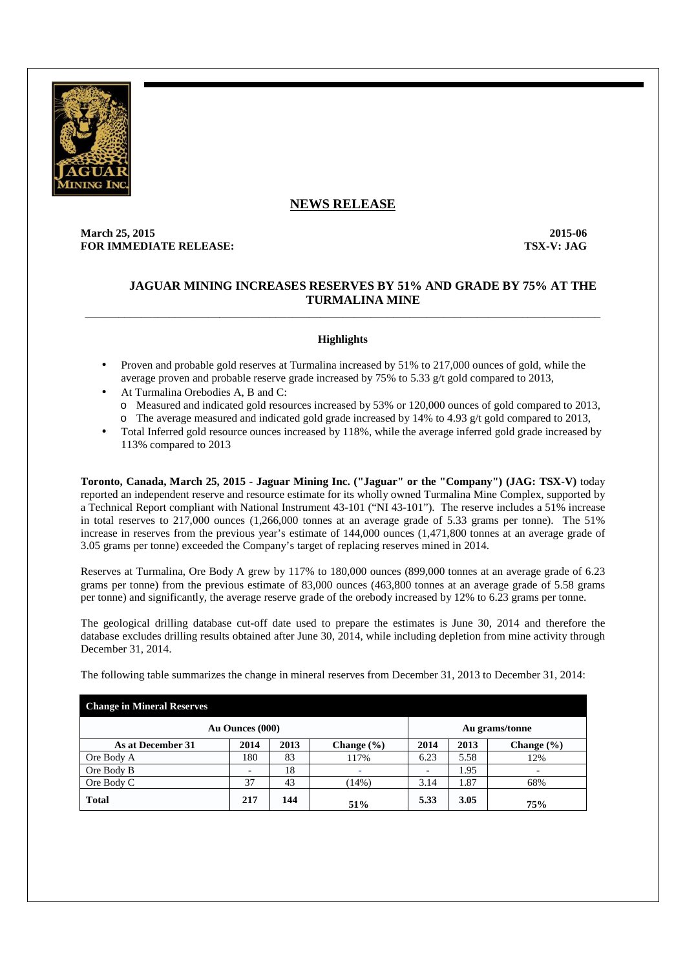

# **NEWS RELEASE**

# **March 25, 2015 2015-06 FOR IMMEDIATE RELEASE:** TSX-V: JAG

# **JAGUAR MINING INCREASES RESERVES BY 51% AND GRADE BY 75% AT THE TURMALINA MINE**

# **Highlights**

\_\_\_\_\_\_\_\_\_\_\_\_\_\_\_\_\_\_\_\_\_\_\_\_\_\_\_\_\_\_\_\_\_\_\_\_\_\_\_\_\_\_\_\_\_\_\_\_\_\_\_\_\_\_\_\_\_\_\_\_\_\_\_\_\_\_\_\_\_\_\_\_\_\_\_\_\_\_\_\_\_\_\_\_\_\_\_\_\_\_\_\_

- Proven and probable gold reserves at Turmalina increased by 51% to 217,000 ounces of gold, while the average proven and probable reserve grade increased by 75% to 5.33 g/t gold compared to 2013,
- At Turmalina Orebodies A, B and C:
	- o Measured and indicated gold resources increased by 53% or 120,000 ounces of gold compared to 2013,
	- o The average measured and indicated gold grade increased by 14% to 4.93 g/t gold compared to 2013,
- Total Inferred gold resource ounces increased by 118%, while the average inferred gold grade increased by 113% compared to 2013

**Toronto, Canada, March 25, 2015 - Jaguar Mining Inc. ("Jaguar" or the "Company") (JAG: TSX-V)** today reported an independent reserve and resource estimate for its wholly owned Turmalina Mine Complex, supported by a Technical Report compliant with National Instrument 43-101 ("NI 43-101"). The reserve includes a 51% increase in total reserves to 217,000 ounces (1,266,000 tonnes at an average grade of 5.33 grams per tonne). The 51% increase in reserves from the previous year's estimate of 144,000 ounces (1,471,800 tonnes at an average grade of 3.05 grams per tonne) exceeded the Company's target of replacing reserves mined in 2014.

Reserves at Turmalina, Ore Body A grew by 117% to 180,000 ounces (899,000 tonnes at an average grade of 6.23 grams per tonne) from the previous estimate of 83,000 ounces (463,800 tonnes at an average grade of 5.58 grams per tonne) and significantly, the average reserve grade of the orebody increased by 12% to 6.23 grams per tonne.

The geological drilling database cut-off date used to prepare the estimates is June 30, 2014 and therefore the database excludes drilling results obtained after June 30, 2014, while including depletion from mine activity through December 31, 2014.

| <b>Change in Mineral Reserves</b> |      |      |                |      |                |                |  |  |  |
|-----------------------------------|------|------|----------------|------|----------------|----------------|--|--|--|
| Au Ounces (000)                   |      |      |                |      | Au grams/tonne |                |  |  |  |
| As at December 31                 | 2014 | 2013 | Change $(\% )$ | 2014 | 2013           | Change $(\% )$ |  |  |  |
| Ore Body A                        | 180  | 83   | 117%           | 6.23 | 5.58           | 12%            |  |  |  |
| Ore Body B                        |      | 18   | ۰              |      | 1.95           |                |  |  |  |
| Ore Body C                        | 37   | 43   | (14%)          | 3.14 | 1.87           | 68%            |  |  |  |
| <b>Total</b>                      | 217  | 144  | 51%            | 5.33 | 3.05           | 75%            |  |  |  |

The following table summarizes the change in mineral reserves from December 31, 2013 to December 31, 2014: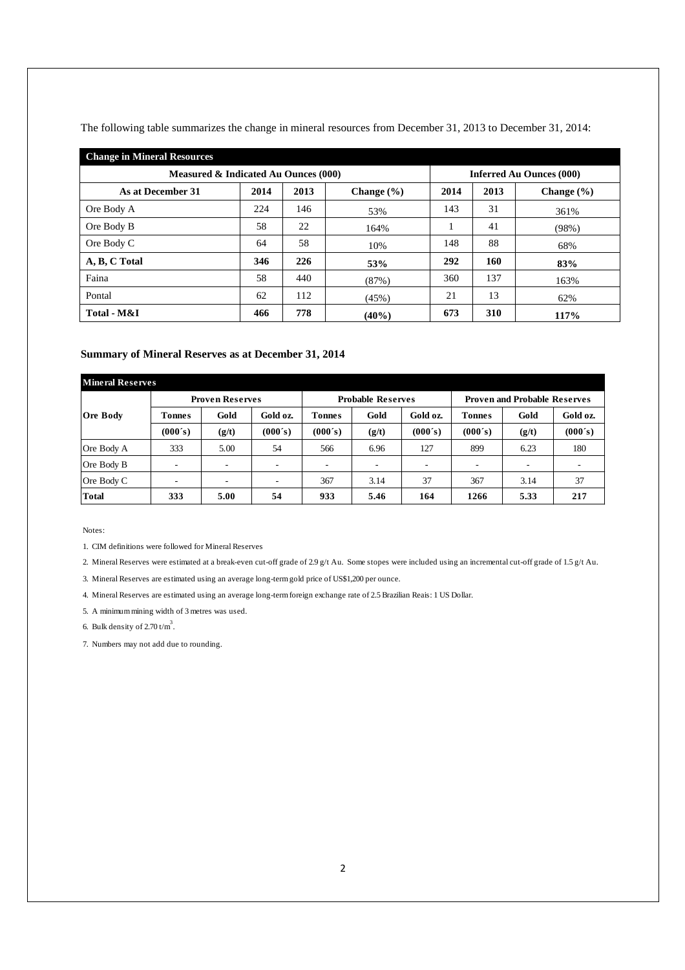| <b>Change in Mineral Resources</b>   |      |                                 |                |      |      |                |  |  |  |  |
|--------------------------------------|------|---------------------------------|----------------|------|------|----------------|--|--|--|--|
| Measured & Indicated Au Ounces (000) |      | <b>Inferred Au Ounces (000)</b> |                |      |      |                |  |  |  |  |
| As at December 31                    | 2014 | 2013                            | Change $(\% )$ | 2014 | 2013 | Change $(\% )$ |  |  |  |  |
| Ore Body A                           | 224  | 146                             | 53%            | 143  | 31   | 361%           |  |  |  |  |
| Ore Body B                           | 58   | 22                              | 164%           |      | 41   | (98%)          |  |  |  |  |
| Ore Body C                           | 64   | 58                              | 10%            | 148  | 88   | 68%            |  |  |  |  |
| A, B, C Total                        | 346  | 226                             | 53%            | 292  | 160  | 83%            |  |  |  |  |
| Faina                                | 58   | 440                             | (87%)          | 360  | 137  | 163%           |  |  |  |  |
| Pontal                               | 62   | 112                             | (45%)          | 21   | 13   | 62%            |  |  |  |  |
| Total - M&I                          | 466  | 778                             | (40%)          | 673  | 310  | 117%           |  |  |  |  |

The following table summarizes the change in mineral resources from December 31, 2013 to December 31, 2014:

## **Summary of Mineral Reserves as at December 31, 2014**

| <b>Mineral Reserves</b> |         |                        |          |                          |                          |          |                                     |       |          |  |
|-------------------------|---------|------------------------|----------|--------------------------|--------------------------|----------|-------------------------------------|-------|----------|--|
|                         |         | <b>Proven Reserves</b> |          |                          | <b>Probable Reserves</b> |          | <b>Proven and Probable Reserves</b> |       |          |  |
| <b>Ore Body</b>         | Tonnes  | Gold                   | Gold oz. | <b>Tonnes</b>            | Gold                     | Gold oz. | <b>Tonnes</b>                       | Gold  | Gold oz. |  |
|                         | (000's) | (g/t)                  | (000's)  | (000's)                  | (g/t)                    | (000's)  | (000's)                             | (g/t) | (000's)  |  |
| Ore Body A              | 333     | 5.00                   | 54       | 566                      | 6.96                     | 127      | 899                                 | 6.23  | 180      |  |
| Ore Body B              |         | -                      | ۰        | $\overline{\phantom{a}}$ | ۰                        |          |                                     |       | ۰.       |  |
| Ore Body C              |         |                        | ۰        | 367                      | 3.14                     | 37       | 367                                 | 3.14  | 37       |  |
| <b>Total</b>            | 333     | 5.00                   | 54       | 933                      | 5.46                     | 164      | 1266                                | 5.33  | 217      |  |

Notes:

1. CIM definitions were followed for Mineral Reserves

2. Mineral Reserves were estimated at a break-even cut-off grade of 2.9 g/t Au. Some stopes were included using an incremental cut-off grade of 1.5 g/t Au.

3. Mineral Reserves are estimated using an average long-term gold price of US\$1,200 per ounce.

4. Mineral Reserves are estimated using an average long-term foreign exchange rate of 2.5 Brazilian Reais: 1 US Dollar.

5. A minimum mining width of 3 metres was used.

6. Bulk density of  $2.70 \text{ t/m}^3$ .

7. Numbers may not add due to rounding.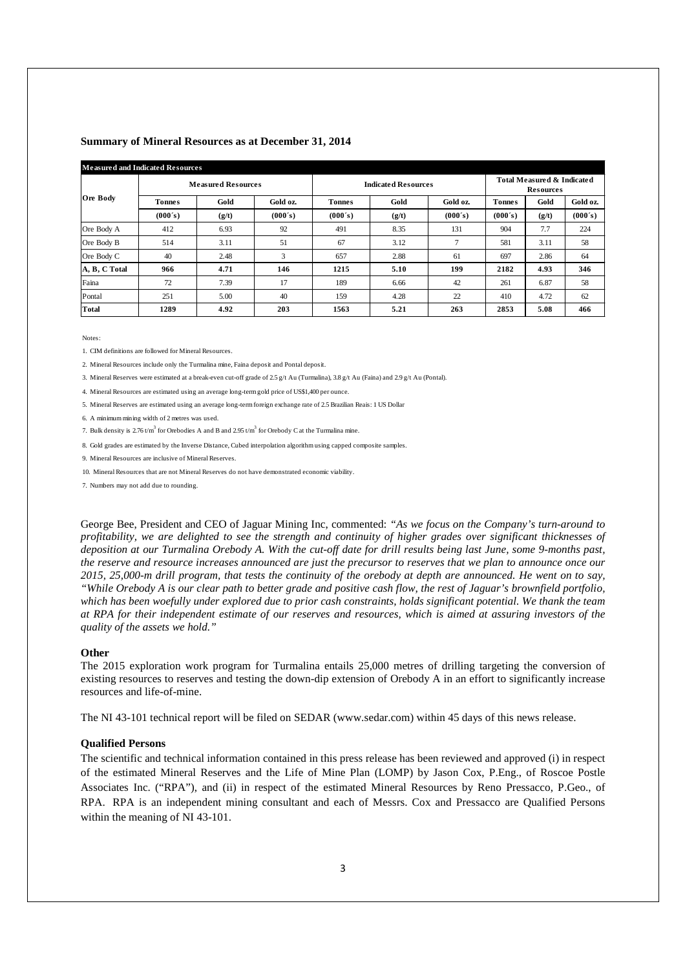#### **Summary of Mineral Resources as at December 31, 2014**

| <b>Measured and Indicated Resources</b> |               |                           |          |                            |                                                           |          |               |       |          |  |  |
|-----------------------------------------|---------------|---------------------------|----------|----------------------------|-----------------------------------------------------------|----------|---------------|-------|----------|--|--|
|                                         |               | <b>Measured Resources</b> |          | <b>Indicated Resources</b> | <b>Total Measured &amp; Indicated</b><br><b>Resources</b> |          |               |       |          |  |  |
| <b>Ore Body</b>                         | <b>Tonnes</b> | Gold                      | Gold oz. | <b>Tonnes</b>              | Gold                                                      | Gold oz. | <b>Tonnes</b> | Gold  | Gold oz. |  |  |
|                                         | (000's)       | (g/t)                     | (000's)  | (000's)                    | (g/t)                                                     | (000's)  | (000's)       | (g/t) | (000's)  |  |  |
| Ore Body A                              | 412           | 6.93                      | 92       | 491                        | 8.35                                                      | 131      | 904           | 7.7   | 224      |  |  |
| Ore Body B                              | 514           | 3.11                      | 51       | 67                         | 3.12                                                      |          | 581           | 3.11  | 58       |  |  |
| Ore Body C                              | 40            | 2.48                      | 3        | 657                        | 2.88                                                      | 61       | 697           | 2.86  | 64       |  |  |
| A, B, C Total                           | 966           | 4.71                      | 146      | 1215                       | 5.10                                                      | 199      | 2182          | 4.93  | 346      |  |  |
| Faina                                   | 72            | 7.39                      | 17       | 189                        | 6.66                                                      | 42       | 261           | 6.87  | 58       |  |  |
| Pontal                                  | 251           | 5.00                      | 40       | 159                        | 4.28                                                      | 22       | 410           | 4.72  | 62       |  |  |
| <b>Total</b>                            | 1289          | 4.92                      | 203      | 1563                       | 5.21                                                      | 263      | 2853          | 5.08  | 466      |  |  |

Notes:

1. CIM definitions are followed for Mineral Resources.

2. Mineral Resources include only the Turmalina mine, Faina deposit and Pontal deposit.

3. Mineral Reserves were estimated at a break-even cut-off grade of 2.5 g/t Au (Turmalina), 3.8 g/t Au (Faina) and 2.9 g/t Au (Pontal).

4. Mineral Resources are estimated using an average long-term gold price of US\$1,400 per ounce.

5. Mineral Reserves are estimated using an average long-term foreign exchange rate of 2.5 Brazilian Reais: 1 US Dollar

6. A minimum mining width of 2 metres was used.

7. Bulk density is  $2.76 \text{ } t/\text{m}^3$  for Orebodies A and B and  $2.95 \text{ } t/\text{m}^3$  for Orebody C at the Turmalina mine.

8. Gold grades are estimated by the Inverse Distance, Cubed interpolation algorithm using capped composite samples.

9. Mineral Resources are inclusive of Mineral Reserves.

10. Mineral Resources that are not Mineral Reserves do not have demonstrated economic viability.

7. Numbers may not add due to rounding.

George Bee, President and CEO of Jaguar Mining Inc, commented: *"As we focus on the Company's turn-around to profitability, we are delighted to see the strength and continuity of higher grades over significant thicknesses of deposition at our Turmalina Orebody A. With the cut-off date for drill results being last June, some 9-months past, the reserve and resource increases announced are just the precursor to reserves that we plan to announce once our 2015, 25,000-m drill program, that tests the continuity of the orebody at depth are announced. He went on to say, "While Orebody A is our clear path to better grade and positive cash flow, the rest of Jaguar's brownfield portfolio, which has been woefully under explored due to prior cash constraints, holds significant potential. We thank the team at RPA for their independent estimate of our reserves and resources, which is aimed at assuring investors of the quality of the assets we hold."* 

#### **Other**

The 2015 exploration work program for Turmalina entails 25,000 metres of drilling targeting the conversion of existing resources to reserves and testing the down-dip extension of Orebody A in an effort to significantly increase resources and life-of-mine.

The NI 43-101 technical report will be filed on SEDAR (www.sedar.com) within 45 days of this news release.

## **Qualified Persons**

The scientific and technical information contained in this press release has been reviewed and approved (i) in respect of the estimated Mineral Reserves and the Life of Mine Plan (LOMP) by Jason Cox, P.Eng., of Roscoe Postle Associates Inc. ("RPA"), and (ii) in respect of the estimated Mineral Resources by Reno Pressacco, P.Geo., of RPA. RPA is an independent mining consultant and each of Messrs. Cox and Pressacco are Qualified Persons within the meaning of NI 43-101.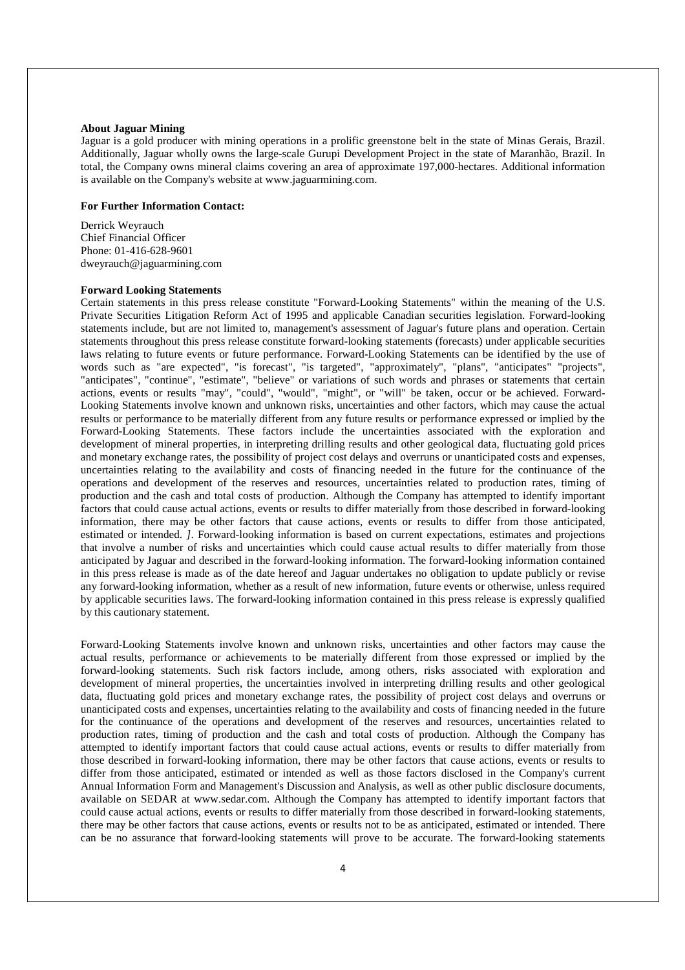### **About Jaguar Mining**

Jaguar is a gold producer with mining operations in a prolific greenstone belt in the state of Minas Gerais, Brazil. Additionally, Jaguar wholly owns the large-scale Gurupi Development Project in the state of Maranhão, Brazil. In total, the Company owns mineral claims covering an area of approximate 197,000-hectares. Additional information is available on the Company's website at www.jaguarmining.com.

### **For Further Information Contact:**

Derrick Weyrauch Chief Financial Officer Phone: 01-416-628-9601 dweyrauch@jaguarmining.com

## **Forward Looking Statements**

Certain statements in this press release constitute "Forward-Looking Statements" within the meaning of the U.S. Private Securities Litigation Reform Act of 1995 and applicable Canadian securities legislation. Forward-looking statements include, but are not limited to, management's assessment of Jaguar's future plans and operation. Certain statements throughout this press release constitute forward-looking statements (forecasts) under applicable securities laws relating to future events or future performance. Forward-Looking Statements can be identified by the use of words such as "are expected", "is forecast", "is targeted", "approximately", "plans", "anticipates" "projects", "anticipates", "continue", "estimate", "believe" or variations of such words and phrases or statements that certain actions, events or results "may", "could", "would", "might", or "will" be taken, occur or be achieved. Forward-Looking Statements involve known and unknown risks, uncertainties and other factors, which may cause the actual results or performance to be materially different from any future results or performance expressed or implied by the Forward-Looking Statements. These factors include the uncertainties associated with the exploration and development of mineral properties, in interpreting drilling results and other geological data, fluctuating gold prices and monetary exchange rates, the possibility of project cost delays and overruns or unanticipated costs and expenses, uncertainties relating to the availability and costs of financing needed in the future for the continuance of the operations and development of the reserves and resources, uncertainties related to production rates, timing of production and the cash and total costs of production. Although the Company has attempted to identify important factors that could cause actual actions, events or results to differ materially from those described in forward-looking information, there may be other factors that cause actions, events or results to differ from those anticipated, estimated or intended. *]*. Forward-looking information is based on current expectations, estimates and projections that involve a number of risks and uncertainties which could cause actual results to differ materially from those anticipated by Jaguar and described in the forward-looking information. The forward-looking information contained in this press release is made as of the date hereof and Jaguar undertakes no obligation to update publicly or revise any forward-looking information, whether as a result of new information, future events or otherwise, unless required by applicable securities laws. The forward-looking information contained in this press release is expressly qualified by this cautionary statement.

Forward-Looking Statements involve known and unknown risks, uncertainties and other factors may cause the actual results, performance or achievements to be materially different from those expressed or implied by the forward-looking statements. Such risk factors include, among others, risks associated with exploration and development of mineral properties, the uncertainties involved in interpreting drilling results and other geological data, fluctuating gold prices and monetary exchange rates, the possibility of project cost delays and overruns or unanticipated costs and expenses, uncertainties relating to the availability and costs of financing needed in the future for the continuance of the operations and development of the reserves and resources, uncertainties related to production rates, timing of production and the cash and total costs of production. Although the Company has attempted to identify important factors that could cause actual actions, events or results to differ materially from those described in forward-looking information, there may be other factors that cause actions, events or results to differ from those anticipated, estimated or intended as well as those factors disclosed in the Company's current Annual Information Form and Management's Discussion and Analysis, as well as other public disclosure documents, available on SEDAR at www.sedar.com. Although the Company has attempted to identify important factors that could cause actual actions, events or results to differ materially from those described in forward-looking statements, there may be other factors that cause actions, events or results not to be as anticipated, estimated or intended. There can be no assurance that forward-looking statements will prove to be accurate. The forward-looking statements